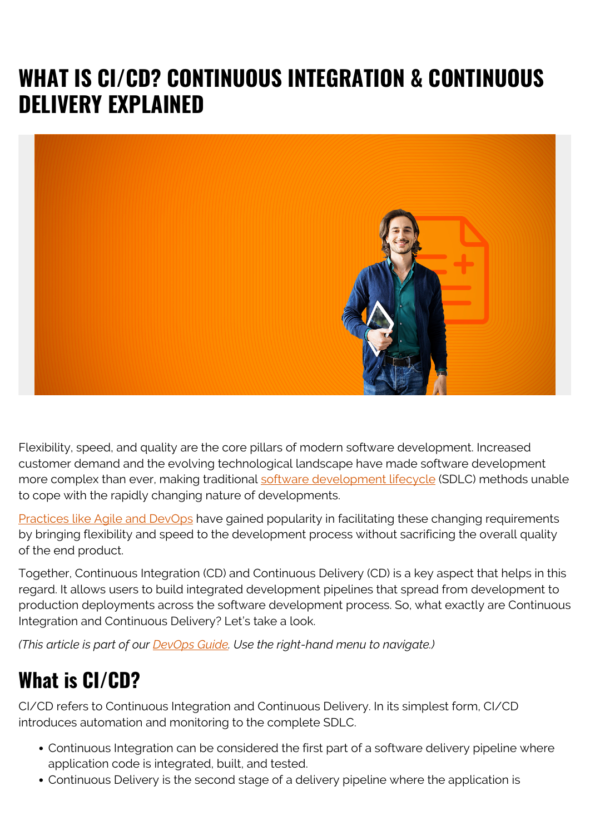# **WHAT IS CI/CD? CONTINUOUS INTEGRATION & CONTINUOUS DELIVERY EXPLAINED**



Flexibility, speed, and quality are the core pillars of modern software development. Increased customer demand and the evolving technological landscape have made software development more complex than ever, making traditional [software development lifecycle](https://blogs.bmc.com/blogs/sdlc-software-development-lifecycle/) (SDLC) methods unable to cope with the rapidly changing nature of developments.

[Practices like Agile and DevOps](https://blogs.bmc.com/blogs/devops-vs-agile-whats-the-difference-and-how-are-they-related/) have gained popularity in facilitating these changing requirements by bringing flexibility and speed to the development process without sacrificing the overall quality of the end product.

Together, Continuous Integration (CD) and Continuous Delivery (CD) is a key aspect that helps in this regard. It allows users to build integrated development pipelines that spread from development to production deployments across the software development process. So, what exactly are Continuous Integration and Continuous Delivery? Let's take a look.

*(This article is part of our [DevOps Guide](https://blogs.bmc.com/blogs/devops-basics-introduction/). Use the right-hand menu to navigate.)*

## **What is CI/CD?**

CI/CD refers to Continuous Integration and Continuous Delivery. In its simplest form, CI/CD introduces automation and monitoring to the complete SDLC.

- Continuous Integration can be considered the first part of a software delivery pipeline where application code is integrated, built, and tested.
- Continuous Delivery is the second stage of a delivery pipeline where the application is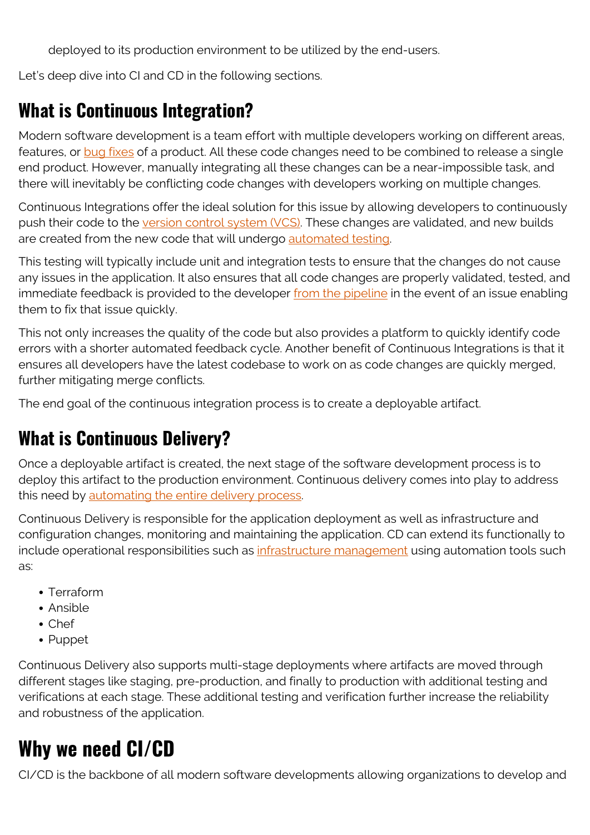deployed to its production environment to be utilized by the end-users.

Let's deep dive into CI and CD in the following sections.

#### **What is Continuous Integration?**

Modern software development is a team effort with multiple developers working on different areas, features, or [bug fixes](https://blogs.bmc.com/blogs/patch-hotfix-coldfix-bugfix/) of a product. All these code changes need to be combined to release a single end product. However, manually integrating all these changes can be a near-impossible task, and there will inevitably be conflicting code changes with developers working on multiple changes.

Continuous Integrations offer the ideal solution for this issue by allowing developers to continuously push their code to the [version control system \(VCS\).](https://blogs.bmc.com/blogs/devops-source-version-control/) These changes are validated, and new builds are created from the new code that will undergo [automated testing](https://blogs.bmc.com/blogs/testing-automation/).

This testing will typically include unit and integration tests to ensure that the changes do not cause any issues in the application. It also ensures that all code changes are properly validated, tested, and immediate feedback is provided to the developer [from the pipeline](https://blogs.bmc.com/blogs/deployment-pipeline/) in the event of an issue enabling them to fix that issue quickly.

This not only increases the quality of the code but also provides a platform to quickly identify code errors with a shorter automated feedback cycle. Another benefit of Continuous Integrations is that it ensures all developers have the latest codebase to work on as code changes are quickly merged, further mitigating merge conflicts.

The end goal of the continuous integration process is to create a deployable artifact.

#### **What is Continuous Delivery?**

Once a deployable artifact is created, the next stage of the software development process is to deploy this artifact to the production environment. Continuous delivery comes into play to address this need by [automating the entire delivery process](https://blogs.bmc.com/blogs/deployment-pipeline/).

Continuous Delivery is responsible for the application deployment as well as infrastructure and configuration changes, monitoring and maintaining the application. CD can extend its functionally to include operational responsibilities such as *infrastructure management* using automation tools such as:

- Terraform
- Ansible
- Chef
- Puppet

Continuous Delivery also supports multi-stage deployments where artifacts are moved through different stages like staging, pre-production, and finally to production with additional testing and verifications at each stage. These additional testing and verification further increase the reliability and robustness of the application.

### **Why we need CI/CD**

CI/CD is the backbone of all modern software developments allowing organizations to develop and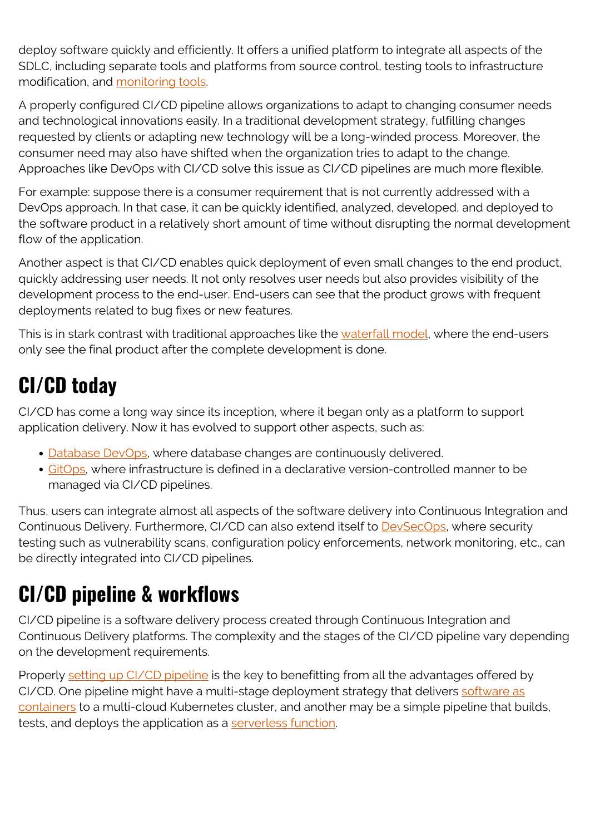deploy software quickly and efficiently. It offers a unified platform to integrate all aspects of the SDLC, including separate tools and platforms from source control, testing tools to infrastructure modification, and [monitoring tools.](https://blogs.bmc.com/blogs/devops-monitoring-telemetry/)

A properly configured CI/CD pipeline allows organizations to adapt to changing consumer needs and technological innovations easily. In a traditional development strategy, fulfilling changes requested by clients or adapting new technology will be a long-winded process. Moreover, the consumer need may also have shifted when the organization tries to adapt to the change. Approaches like DevOps with CI/CD solve this issue as CI/CD pipelines are much more flexible.

For example: suppose there is a consumer requirement that is not currently addressed with a DevOps approach. In that case, it can be quickly identified, analyzed, developed, and deployed to the software product in a relatively short amount of time without disrupting the normal development flow of the application.

Another aspect is that CI/CD enables quick deployment of even small changes to the end product, quickly addressing user needs. It not only resolves user needs but also provides visibility of the development process to the end-user. End-users can see that the product grows with frequent deployments related to bug fixes or new features.

This is in stark contrast with traditional approaches like the [waterfall model](https://blogs.bmc.com/blogs/agile-vs-waterfall/), where the end-users only see the final product after the complete development is done.

# **CI/CD today**

CI/CD has come a long way since its inception, where it began only as a platform to support application delivery. Now it has evolved to support other aspects, such as:

- [Database DevOps,](https://blogs.bmc.com/blogs/database-devops/) where database changes are continuously delivered.
- [GitOps](https://blogs.bmc.com/blogs/gitops-cloud-native-app-delivery/), where infrastructure is defined in a declarative version-controlled manner to be managed via CI/CD pipelines.

Thus, users can integrate almost all aspects of the software delivery into Continuous Integration and Continuous Delivery. Furthermore, CI/CD can also extend itself to **[DevSecOps](https://blogs.bmc.com/blogs/devops-devsecops/)**, where security testing such as vulnerability scans, configuration policy enforcements, network monitoring, etc., can be directly integrated into CI/CD pipelines.

## **CI/CD pipeline & workflows**

CI/CD pipeline is a software delivery process created through Continuous Integration and Continuous Delivery platforms. The complexity and the stages of the CI/CD pipeline vary depending on the development requirements.

Properly [setting up CI/CD pipeline](https://blogs.bmc.com/blogs/ci-cd-pipeline-setup/) is the key to benefitting from all the advantages offered by CI/CD. One pipeline might have a multi-stage deployment strategy that delivers [software as](https://blogs.bmc.com/blogs/devops-container-pipeline/) [containers](https://blogs.bmc.com/blogs/devops-container-pipeline/) to a multi-cloud Kubernetes cluster, and another may be a simple pipeline that builds, tests, and deploys the application as a [serverless function.](https://blogs.bmc.com/blogs/serverless-architecture/)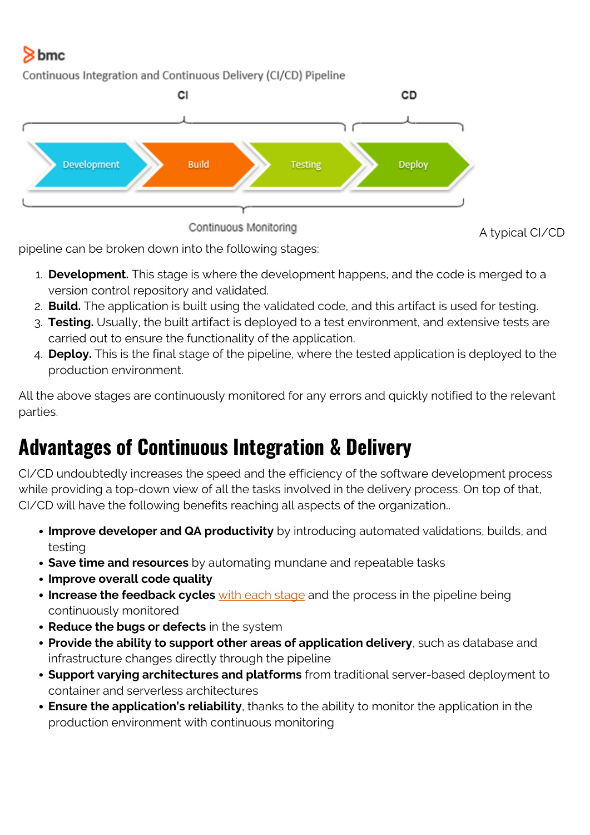#### bmc

Continuous Integration and Continuous Delivery (CI/CD) Pipeline



pipeline can be broken down into the following stages:

- 1. **Development.** This stage is where the development happens, and the code is merged to a version control repository and validated.
- 2. **Build.** The application is built using the validated code, and this artifact is used for testing.
- 3. **Testing.** Usually, the built artifact is deployed to a test environment, and extensive tests are carried out to ensure the functionality of the application.
- 4. **Deploy.** This is the final stage of the pipeline, where the tested application is deployed to the production environment.

All the above stages are continuously monitored for any errors and quickly notified to the relevant parties.

## **Advantages of Continuous Integration & Delivery**

CI/CD undoubtedly increases the speed and the efficiency of the software development process while providing a top-down view of all the tasks involved in the delivery process. On top of that, CI/CD will have the following benefits reaching all aspects of the organization..

- **Improve developer and QA productivity** by introducing automated validations, builds, and testing
- **Save time and resources** by automating mundane and repeatable tasks
- **Improve overall code quality**
- **Increase the feedback cycles** [with each stage](https://blogs.bmc.com/blogs/devops-feedback-loops/) and the process in the pipeline being continuously monitored
- **Reduce the bugs or defects** in the system
- **Provide the ability to support other areas of application delivery**, such as database and infrastructure changes directly through the pipeline
- **Support varying architectures and platforms** from traditional server-based deployment to container and serverless architectures
- **Ensure the application's reliability**, thanks to the ability to monitor the application in the production environment with continuous monitoring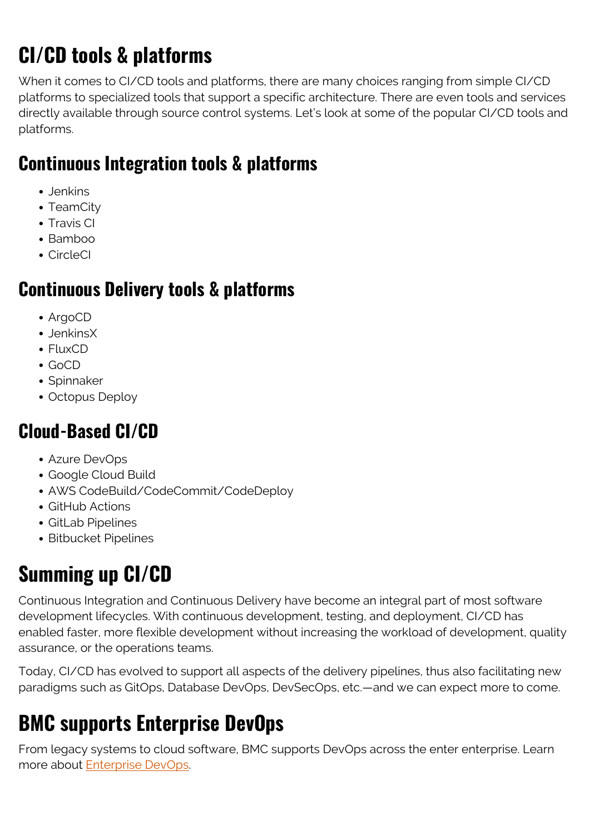# **CI/CD tools & platforms**

When it comes to CI/CD tools and platforms, there are many choices ranging from simple CI/CD platforms to specialized tools that support a specific architecture. There are even tools and services directly available through source control systems. Let's look at some of the popular CI/CD tools and platforms.

#### **Continuous Integration tools & platforms**

- Jenkins
- TeamCity
- Travis CI
- $\bullet$  Bamboo
- CircleCI

#### **Continuous Delivery tools & platforms**

- ArgoCD
- JenkinsX
- FluxCD
- $\bullet$  GoCD
- Spinnaker
- Octopus Deploy

#### **Cloud-Based CI/CD**

- Azure DevOps
- Google Cloud Build
- AWS CodeBuild/CodeCommit/CodeDeploy
- GitHub Actions
- GitLab Pipelines
- Bitbucket Pipelines

# **Summing up CI/CD**

Continuous Integration and Continuous Delivery have become an integral part of most software development lifecycles. With continuous development, testing, and deployment, CI/CD has enabled faster, more flexible development without increasing the workload of development, quality assurance, or the operations teams.

Today, CI/CD has evolved to support all aspects of the delivery pipelines, thus also facilitating new paradigms such as GitOps, Database DevOps, DevSecOps, etc.—and we can expect more to come.

# **BMC supports Enterprise DevOps**

From legacy systems to cloud software, BMC supports DevOps across the enter enterprise. Learn more about **Enterprise DevOps**.